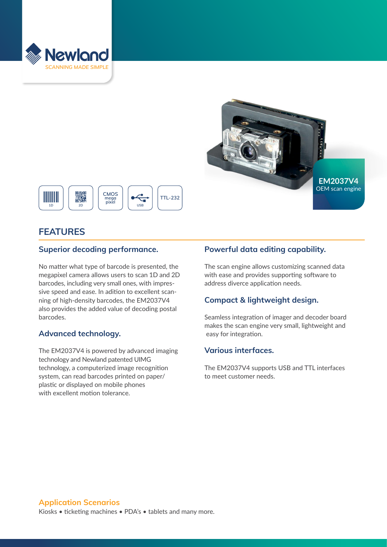





# **FEATURES**

# **Superior decoding performance.**

No matter what type of barcode is presented, the megapixel camera allows users to scan 1D and 2D barcodes, including very small ones, with impressive speed and ease. In adition to excellent scanning of high-density barcodes, the EM2037V4 also provides the added value of decoding postal barcodes.

# **Advanced technology.**

The EM2037V4 is powered by advanced imaging technology and Newland patented UIMG technology, a computerized image recognition system, can read barcodes printed on paper/ plastic or displayed on mobile phones with excellent motion tolerance.

# **Powerful data editing capability.**

The scan engine allows customizing scanned data with ease and provides supporting software to address diverce application needs.

# **Compact & lightweight design.**

Seamless integration of imager and decoder board makes the scan engine very small, lightweight and easy for integration.

# **Various interfaces.**

The EM2037V4 supports USB and TTL interfaces to meet customer needs.

#### **Application Scenarios**

Kiosks • ticketing machines • PDA's • tablets and many more.